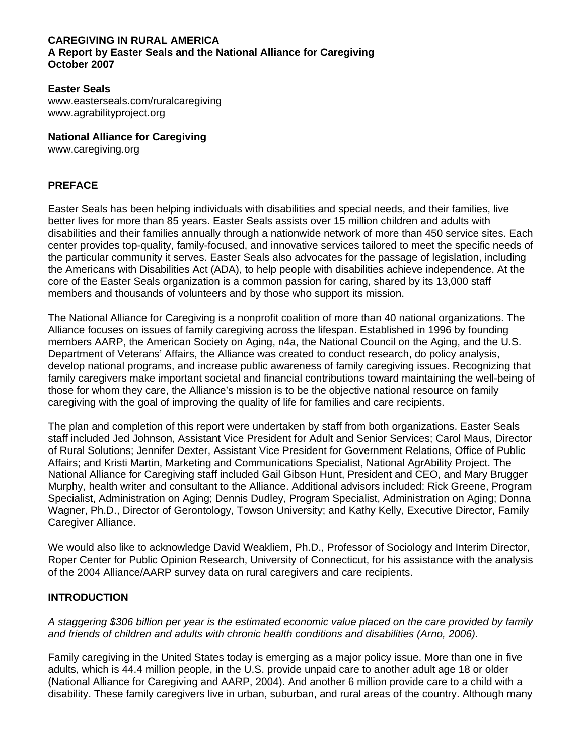#### **CAREGIVING IN RURAL AMERICA A Report by Easter Seals and the National Alliance for Caregiving October 2007**

### **Easter Seals**

www.easterseals.com/ruralcaregiving www.agrabilityproject.org

**National Alliance for Caregiving** 

www.caregiving.org

## **PREFACE**

Easter Seals has been helping individuals with disabilities and special needs, and their families, live better lives for more than 85 years. Easter Seals assists over 15 million children and adults with disabilities and their families annually through a nationwide network of more than 450 service sites. Each center provides top-quality, family-focused, and innovative services tailored to meet the specific needs of the particular community it serves. Easter Seals also advocates for the passage of legislation, including the Americans with Disabilities Act (ADA), to help people with disabilities achieve independence. At the core of the Easter Seals organization is a common passion for caring, shared by its 13,000 staff members and thousands of volunteers and by those who support its mission.

The National Alliance for Caregiving is a nonprofit coalition of more than 40 national organizations. The Alliance focuses on issues of family caregiving across the lifespan. Established in 1996 by founding members AARP, the American Society on Aging, n4a, the National Council on the Aging, and the U.S. Department of Veterans' Affairs, the Alliance was created to conduct research, do policy analysis, develop national programs, and increase public awareness of family caregiving issues. Recognizing that family caregivers make important societal and financial contributions toward maintaining the well-being of those for whom they care, the Alliance's mission is to be the objective national resource on family caregiving with the goal of improving the quality of life for families and care recipients.

The plan and completion of this report were undertaken by staff from both organizations. Easter Seals staff included Jed Johnson, Assistant Vice President for Adult and Senior Services; Carol Maus, Director of Rural Solutions; Jennifer Dexter, Assistant Vice President for Government Relations, Office of Public Affairs; and Kristi Martin, Marketing and Communications Specialist, National AgrAbility Project. The National Alliance for Caregiving staff included Gail Gibson Hunt, President and CEO, and Mary Brugger Murphy, health writer and consultant to the Alliance. Additional advisors included: Rick Greene, Program Specialist, Administration on Aging; Dennis Dudley, Program Specialist, Administration on Aging; Donna Wagner, Ph.D., Director of Gerontology, Towson University; and Kathy Kelly, Executive Director, Family Caregiver Alliance.

We would also like to acknowledge David Weakliem, Ph.D., Professor of Sociology and Interim Director, Roper Center for Public Opinion Research, University of Connecticut, for his assistance with the analysis of the 2004 Alliance/AARP survey data on rural caregivers and care recipients.

## **INTRODUCTION**

*A staggering \$306 billion per year is the estimated economic value placed on the care provided by family and friends of children and adults with chronic health conditions and disabilities (Arno, 2006).* 

Family caregiving in the United States today is emerging as a major policy issue. More than one in five adults, which is 44.4 million people, in the U.S. provide unpaid care to another adult age 18 or older (National Alliance for Caregiving and AARP, 2004). And another 6 million provide care to a child with a disability. These family caregivers live in urban, suburban, and rural areas of the country. Although many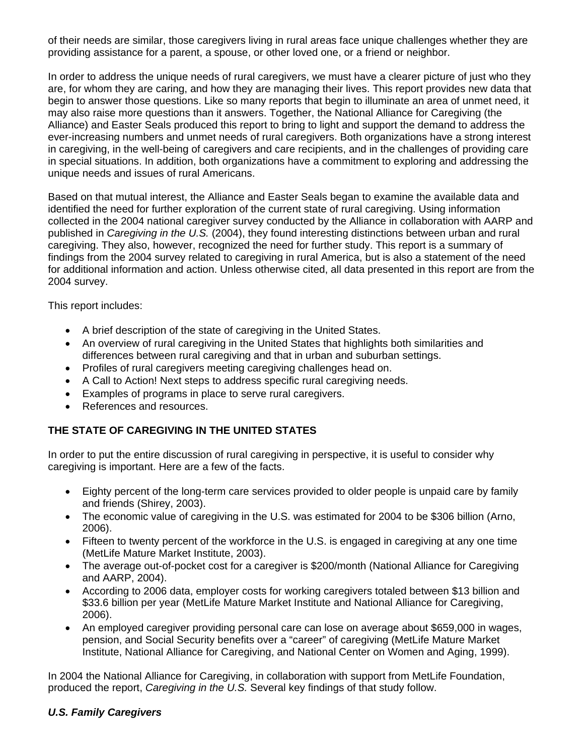of their needs are similar, those caregivers living in rural areas face unique challenges whether they are providing assistance for a parent, a spouse, or other loved one, or a friend or neighbor.

In order to address the unique needs of rural caregivers, we must have a clearer picture of just who they are, for whom they are caring, and how they are managing their lives. This report provides new data that begin to answer those questions. Like so many reports that begin to illuminate an area of unmet need, it may also raise more questions than it answers. Together, the National Alliance for Caregiving (the Alliance) and Easter Seals produced this report to bring to light and support the demand to address the ever-increasing numbers and unmet needs of rural caregivers. Both organizations have a strong interest in caregiving, in the well-being of caregivers and care recipients, and in the challenges of providing care in special situations. In addition, both organizations have a commitment to exploring and addressing the unique needs and issues of rural Americans.

Based on that mutual interest, the Alliance and Easter Seals began to examine the available data and identified the need for further exploration of the current state of rural caregiving. Using information collected in the 2004 national caregiver survey conducted by the Alliance in collaboration with AARP and published in *Caregiving in the U.S.* (2004), they found interesting distinctions between urban and rural caregiving. They also, however, recognized the need for further study. This report is a summary of findings from the 2004 survey related to caregiving in rural America, but is also a statement of the need for additional information and action. Unless otherwise cited, all data presented in this report are from the 2004 survey.

This report includes:

- A brief description of the state of caregiving in the United States.
- An overview of rural caregiving in the United States that highlights both similarities and differences between rural caregiving and that in urban and suburban settings.
- Profiles of rural caregivers meeting caregiving challenges head on.
- A Call to Action! Next steps to address specific rural caregiving needs.
- Examples of programs in place to serve rural caregivers.
- References and resources.

# **THE STATE OF CAREGIVING IN THE UNITED STATES**

In order to put the entire discussion of rural caregiving in perspective, it is useful to consider why caregiving is important. Here are a few of the facts.

- Eighty percent of the long-term care services provided to older people is unpaid care by family and friends (Shirey, 2003).
- The economic value of caregiving in the U.S. was estimated for 2004 to be \$306 billion (Arno, 2006).
- Fifteen to twenty percent of the workforce in the U.S. is engaged in caregiving at any one time (MetLife Mature Market Institute, 2003).
- The average out-of-pocket cost for a caregiver is \$200/month (National Alliance for Caregiving and AARP, 2004).
- According to 2006 data, employer costs for working caregivers totaled between \$13 billion and \$33.6 billion per year (MetLife Mature Market Institute and National Alliance for Caregiving, 2006).
- An employed caregiver providing personal care can lose on average about \$659,000 in wages, pension, and Social Security benefits over a "career" of caregiving (MetLife Mature Market Institute, National Alliance for Caregiving, and National Center on Women and Aging, 1999).

In 2004 the National Alliance for Caregiving, in collaboration with support from MetLife Foundation, produced the report, *Caregiving in the U.S.* Several key findings of that study follow.

# *U.S. Family Caregivers*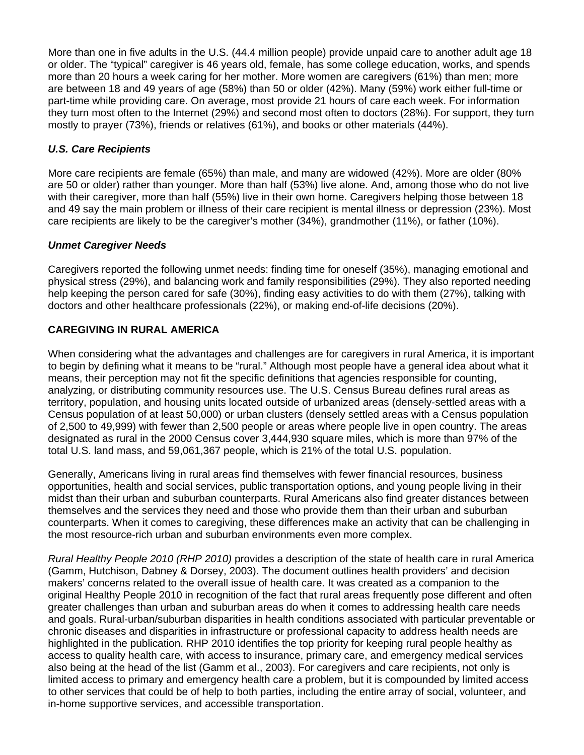More than one in five adults in the U.S. (44.4 million people) provide unpaid care to another adult age 18 or older. The "typical" caregiver is 46 years old, female, has some college education, works, and spends more than 20 hours a week caring for her mother. More women are caregivers (61%) than men; more are between 18 and 49 years of age (58%) than 50 or older (42%). Many (59%) work either full-time or part-time while providing care. On average, most provide 21 hours of care each week. For information they turn most often to the Internet (29%) and second most often to doctors (28%). For support, they turn mostly to prayer (73%), friends or relatives (61%), and books or other materials (44%).

# *U.S. Care Recipients*

More care recipients are female (65%) than male, and many are widowed (42%). More are older (80% are 50 or older) rather than younger. More than half (53%) live alone. And, among those who do not live with their caregiver, more than half (55%) live in their own home. Caregivers helping those between 18 and 49 say the main problem or illness of their care recipient is mental illness or depression (23%). Most care recipients are likely to be the caregiver's mother (34%), grandmother (11%), or father (10%).

## *Unmet Caregiver Needs*

Caregivers reported the following unmet needs: finding time for oneself (35%), managing emotional and physical stress (29%), and balancing work and family responsibilities (29%). They also reported needing help keeping the person cared for safe (30%), finding easy activities to do with them (27%), talking with doctors and other healthcare professionals (22%), or making end-of-life decisions (20%).

# **CAREGIVING IN RURAL AMERICA**

When considering what the advantages and challenges are for caregivers in rural America, it is important to begin by defining what it means to be "rural." Although most people have a general idea about what it means, their perception may not fit the specific definitions that agencies responsible for counting, analyzing, or distributing community resources use. The U.S. Census Bureau defines rural areas as territory, population, and housing units located outside of urbanized areas (densely-settled areas with a Census population of at least 50,000) or urban clusters (densely settled areas with a Census population of 2,500 to 49,999) with fewer than 2,500 people or areas where people live in open country. The areas designated as rural in the 2000 Census cover 3,444,930 square miles, which is more than 97% of the total U.S. land mass, and 59,061,367 people, which is 21% of the total U.S. population.

Generally, Americans living in rural areas find themselves with fewer financial resources, business opportunities, health and social services, public transportation options, and young people living in their midst than their urban and suburban counterparts. Rural Americans also find greater distances between themselves and the services they need and those who provide them than their urban and suburban counterparts. When it comes to caregiving, these differences make an activity that can be challenging in the most resource-rich urban and suburban environments even more complex.

*Rural Healthy People 2010 (RHP 2010)* provides a description of the state of health care in rural America (Gamm, Hutchison, Dabney & Dorsey, 2003). The document outlines health providers' and decision makers' concerns related to the overall issue of health care. It was created as a companion to the original Healthy People 2010 in recognition of the fact that rural areas frequently pose different and often greater challenges than urban and suburban areas do when it comes to addressing health care needs and goals. Rural-urban/suburban disparities in health conditions associated with particular preventable or chronic diseases and disparities in infrastructure or professional capacity to address health needs are highlighted in the publication. RHP 2010 identifies the top priority for keeping rural people healthy as access to quality health care, with access to insurance, primary care, and emergency medical services also being at the head of the list (Gamm et al., 2003). For caregivers and care recipients, not only is limited access to primary and emergency health care a problem, but it is compounded by limited access to other services that could be of help to both parties, including the entire array of social, volunteer, and in-home supportive services, and accessible transportation.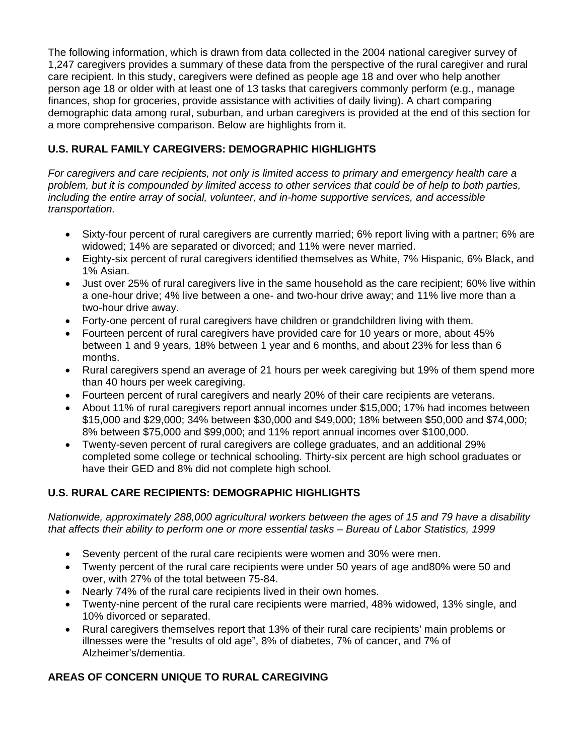The following information, which is drawn from data collected in the 2004 national caregiver survey of 1,247 caregivers provides a summary of these data from the perspective of the rural caregiver and rural care recipient. In this study, caregivers were defined as people age 18 and over who help another person age 18 or older with at least one of 13 tasks that caregivers commonly perform (e.g., manage finances, shop for groceries, provide assistance with activities of daily living). A chart comparing demographic data among rural, suburban, and urban caregivers is provided at the end of this section for a more comprehensive comparison. Below are highlights from it.

# **U.S. RURAL FAMILY CAREGIVERS: DEMOGRAPHIC HIGHLIGHTS**

*For caregivers and care recipients, not only is limited access to primary and emergency health care a problem, but it is compounded by limited access to other services that could be of help to both parties, including the entire array of social, volunteer, and in-home supportive services, and accessible transportation.* 

- Sixty-four percent of rural caregivers are currently married; 6% report living with a partner; 6% are widowed; 14% are separated or divorced; and 11% were never married.
- Eighty-six percent of rural caregivers identified themselves as White, 7% Hispanic, 6% Black, and 1% Asian.
- Just over 25% of rural caregivers live in the same household as the care recipient; 60% live within a one-hour drive; 4% live between a one- and two-hour drive away; and 11% live more than a two-hour drive away.
- Forty-one percent of rural caregivers have children or grandchildren living with them.
- Fourteen percent of rural caregivers have provided care for 10 years or more, about 45% between 1 and 9 years, 18% between 1 year and 6 months, and about 23% for less than 6 months.
- Rural caregivers spend an average of 21 hours per week caregiving but 19% of them spend more than 40 hours per week caregiving.
- Fourteen percent of rural caregivers and nearly 20% of their care recipients are veterans.
- About 11% of rural caregivers report annual incomes under \$15,000; 17% had incomes between \$15,000 and \$29,000; 34% between \$30,000 and \$49,000; 18% between \$50,000 and \$74,000; 8% between \$75,000 and \$99,000; and 11% report annual incomes over \$100,000.
- Twenty-seven percent of rural caregivers are college graduates, and an additional 29% completed some college or technical schooling. Thirty-six percent are high school graduates or have their GED and 8% did not complete high school.

# **U.S. RURAL CARE RECIPIENTS: DEMOGRAPHIC HIGHLIGHTS**

*Nationwide, approximately 288,000 agricultural workers between the ages of 15 and 79 have a disability that affects their ability to perform one or more essential tasks – Bureau of Labor Statistics, 1999* 

- Seventy percent of the rural care recipients were women and 30% were men.
- Twenty percent of the rural care recipients were under 50 years of age and80% were 50 and over, with 27% of the total between 75-84.
- Nearly 74% of the rural care recipients lived in their own homes.
- Twenty-nine percent of the rural care recipients were married, 48% widowed, 13% single, and 10% divorced or separated.
- Rural caregivers themselves report that 13% of their rural care recipients' main problems or illnesses were the "results of old age", 8% of diabetes, 7% of cancer, and 7% of Alzheimer's/dementia.

# **AREAS OF CONCERN UNIQUE TO RURAL CAREGIVING**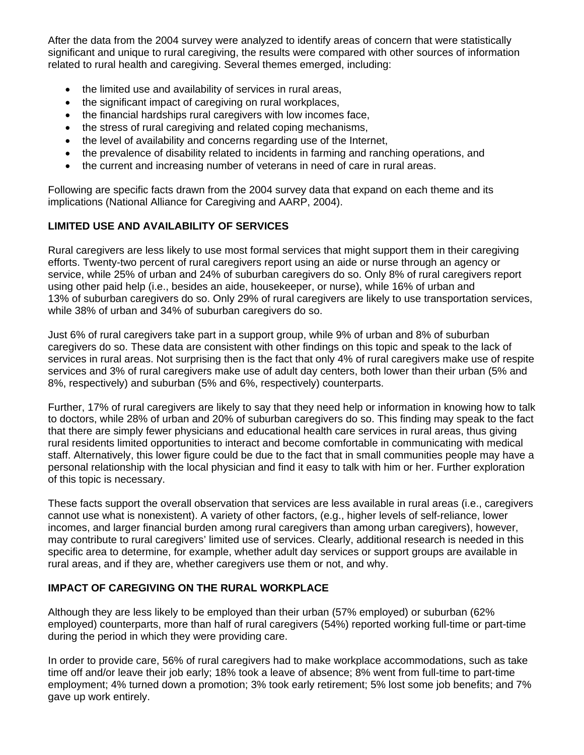After the data from the 2004 survey were analyzed to identify areas of concern that were statistically significant and unique to rural caregiving, the results were compared with other sources of information related to rural health and caregiving. Several themes emerged, including:

- the limited use and availability of services in rural areas,
- the significant impact of caregiving on rural workplaces,
- the financial hardships rural caregivers with low incomes face,
- the stress of rural caregiving and related coping mechanisms,
- the level of availability and concerns regarding use of the Internet,
- the prevalence of disability related to incidents in farming and ranching operations, and
- the current and increasing number of veterans in need of care in rural areas.

Following are specific facts drawn from the 2004 survey data that expand on each theme and its implications (National Alliance for Caregiving and AARP, 2004).

# **LIMITED USE AND AVAILABILITY OF SERVICES**

Rural caregivers are less likely to use most formal services that might support them in their caregiving efforts. Twenty-two percent of rural caregivers report using an aide or nurse through an agency or service, while 25% of urban and 24% of suburban caregivers do so. Only 8% of rural caregivers report using other paid help (i.e., besides an aide, housekeeper, or nurse), while 16% of urban and 13% of suburban caregivers do so. Only 29% of rural caregivers are likely to use transportation services, while 38% of urban and 34% of suburban caregivers do so.

Just 6% of rural caregivers take part in a support group, while 9% of urban and 8% of suburban caregivers do so. These data are consistent with other findings on this topic and speak to the lack of services in rural areas. Not surprising then is the fact that only 4% of rural caregivers make use of respite services and 3% of rural caregivers make use of adult day centers, both lower than their urban (5% and 8%, respectively) and suburban (5% and 6%, respectively) counterparts.

Further, 17% of rural caregivers are likely to say that they need help or information in knowing how to talk to doctors, while 28% of urban and 20% of suburban caregivers do so. This finding may speak to the fact that there are simply fewer physicians and educational health care services in rural areas, thus giving rural residents limited opportunities to interact and become comfortable in communicating with medical staff. Alternatively, this lower figure could be due to the fact that in small communities people may have a personal relationship with the local physician and find it easy to talk with him or her. Further exploration of this topic is necessary.

These facts support the overall observation that services are less available in rural areas (i.e., caregivers cannot use what is nonexistent). A variety of other factors, (e.g., higher levels of self-reliance, lower incomes, and larger financial burden among rural caregivers than among urban caregivers), however, may contribute to rural caregivers' limited use of services. Clearly, additional research is needed in this specific area to determine, for example, whether adult day services or support groups are available in rural areas, and if they are, whether caregivers use them or not, and why.

## **IMPACT OF CAREGIVING ON THE RURAL WORKPLACE**

Although they are less likely to be employed than their urban (57% employed) or suburban (62% employed) counterparts, more than half of rural caregivers (54%) reported working full-time or part-time during the period in which they were providing care.

In order to provide care, 56% of rural caregivers had to make workplace accommodations, such as take time off and/or leave their job early; 18% took a leave of absence; 8% went from full-time to part-time employment; 4% turned down a promotion; 3% took early retirement; 5% lost some job benefits; and 7% gave up work entirely.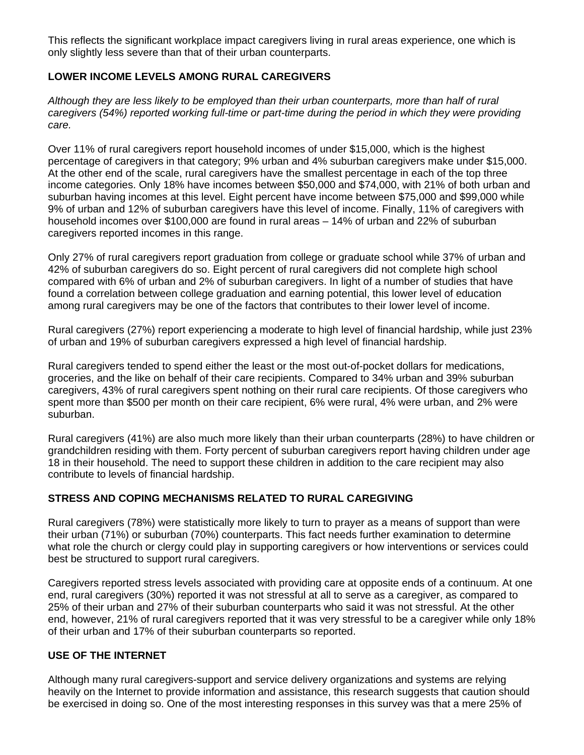This reflects the significant workplace impact caregivers living in rural areas experience, one which is only slightly less severe than that of their urban counterparts.

# **LOWER INCOME LEVELS AMONG RURAL CAREGIVERS**

*Although they are less likely to be employed than their urban counterparts, more than half of rural caregivers (54%) reported working full-time or part-time during the period in which they were providing care.* 

Over 11% of rural caregivers report household incomes of under \$15,000, which is the highest percentage of caregivers in that category; 9% urban and 4% suburban caregivers make under \$15,000. At the other end of the scale, rural caregivers have the smallest percentage in each of the top three income categories. Only 18% have incomes between \$50,000 and \$74,000, with 21% of both urban and suburban having incomes at this level. Eight percent have income between \$75,000 and \$99,000 while 9% of urban and 12% of suburban caregivers have this level of income. Finally, 11% of caregivers with household incomes over \$100,000 are found in rural areas – 14% of urban and 22% of suburban caregivers reported incomes in this range.

Only 27% of rural caregivers report graduation from college or graduate school while 37% of urban and 42% of suburban caregivers do so. Eight percent of rural caregivers did not complete high school compared with 6% of urban and 2% of suburban caregivers. In light of a number of studies that have found a correlation between college graduation and earning potential, this lower level of education among rural caregivers may be one of the factors that contributes to their lower level of income.

Rural caregivers (27%) report experiencing a moderate to high level of financial hardship, while just 23% of urban and 19% of suburban caregivers expressed a high level of financial hardship.

Rural caregivers tended to spend either the least or the most out-of-pocket dollars for medications, groceries, and the like on behalf of their care recipients. Compared to 34% urban and 39% suburban caregivers, 43% of rural caregivers spent nothing on their rural care recipients. Of those caregivers who spent more than \$500 per month on their care recipient, 6% were rural, 4% were urban, and 2% were suburban.

Rural caregivers (41%) are also much more likely than their urban counterparts (28%) to have children or grandchildren residing with them. Forty percent of suburban caregivers report having children under age 18 in their household. The need to support these children in addition to the care recipient may also contribute to levels of financial hardship.

## **STRESS AND COPING MECHANISMS RELATED TO RURAL CAREGIVING**

Rural caregivers (78%) were statistically more likely to turn to prayer as a means of support than were their urban (71%) or suburban (70%) counterparts. This fact needs further examination to determine what role the church or clergy could play in supporting caregivers or how interventions or services could best be structured to support rural caregivers.

Caregivers reported stress levels associated with providing care at opposite ends of a continuum. At one end, rural caregivers (30%) reported it was not stressful at all to serve as a caregiver, as compared to 25% of their urban and 27% of their suburban counterparts who said it was not stressful. At the other end, however, 21% of rural caregivers reported that it was very stressful to be a caregiver while only 18% of their urban and 17% of their suburban counterparts so reported.

## **USE OF THE INTERNET**

Although many rural caregivers-support and service delivery organizations and systems are relying heavily on the Internet to provide information and assistance, this research suggests that caution should be exercised in doing so. One of the most interesting responses in this survey was that a mere 25% of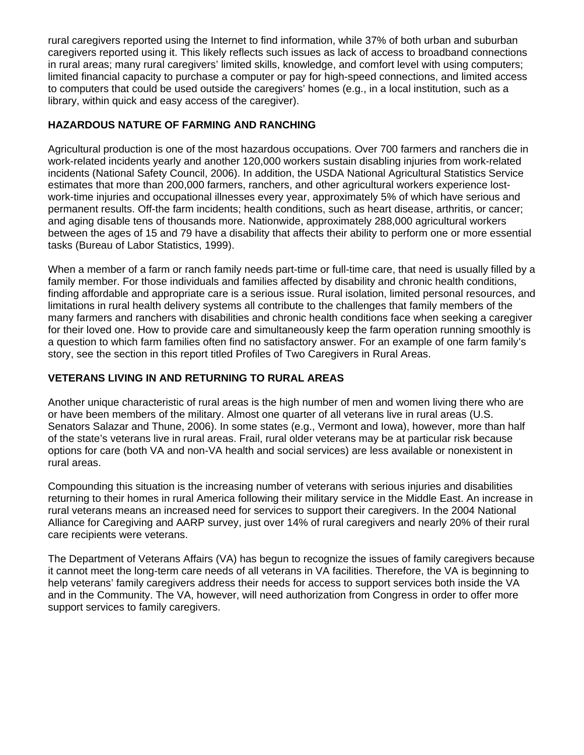rural caregivers reported using the Internet to find information, while 37% of both urban and suburban caregivers reported using it. This likely reflects such issues as lack of access to broadband connections in rural areas; many rural caregivers' limited skills, knowledge, and comfort level with using computers; limited financial capacity to purchase a computer or pay for high-speed connections, and limited access to computers that could be used outside the caregivers' homes (e.g., in a local institution, such as a library, within quick and easy access of the caregiver).

# **HAZARDOUS NATURE OF FARMING AND RANCHING**

Agricultural production is one of the most hazardous occupations. Over 700 farmers and ranchers die in work-related incidents yearly and another 120,000 workers sustain disabling injuries from work-related incidents (National Safety Council, 2006). In addition, the USDA National Agricultural Statistics Service estimates that more than 200,000 farmers, ranchers, and other agricultural workers experience lostwork-time injuries and occupational illnesses every year, approximately 5% of which have serious and permanent results. Off-the farm incidents; health conditions, such as heart disease, arthritis, or cancer; and aging disable tens of thousands more. Nationwide, approximately 288,000 agricultural workers between the ages of 15 and 79 have a disability that affects their ability to perform one or more essential tasks (Bureau of Labor Statistics, 1999).

When a member of a farm or ranch family needs part-time or full-time care, that need is usually filled by a family member. For those individuals and families affected by disability and chronic health conditions, finding affordable and appropriate care is a serious issue. Rural isolation, limited personal resources, and limitations in rural health delivery systems all contribute to the challenges that family members of the many farmers and ranchers with disabilities and chronic health conditions face when seeking a caregiver for their loved one. How to provide care and simultaneously keep the farm operation running smoothly is a question to which farm families often find no satisfactory answer. For an example of one farm family's story, see the section in this report titled Profiles of Two Caregivers in Rural Areas.

# **VETERANS LIVING IN AND RETURNING TO RURAL AREAS**

Another unique characteristic of rural areas is the high number of men and women living there who are or have been members of the military. Almost one quarter of all veterans live in rural areas (U.S. Senators Salazar and Thune, 2006). In some states (e.g., Vermont and Iowa), however, more than half of the state's veterans live in rural areas. Frail, rural older veterans may be at particular risk because options for care (both VA and non-VA health and social services) are less available or nonexistent in rural areas.

Compounding this situation is the increasing number of veterans with serious injuries and disabilities returning to their homes in rural America following their military service in the Middle East. An increase in rural veterans means an increased need for services to support their caregivers. In the 2004 National Alliance for Caregiving and AARP survey, just over 14% of rural caregivers and nearly 20% of their rural care recipients were veterans.

The Department of Veterans Affairs (VA) has begun to recognize the issues of family caregivers because it cannot meet the long-term care needs of all veterans in VA facilities. Therefore, the VA is beginning to help veterans' family caregivers address their needs for access to support services both inside the VA and in the Community. The VA, however, will need authorization from Congress in order to offer more support services to family caregivers.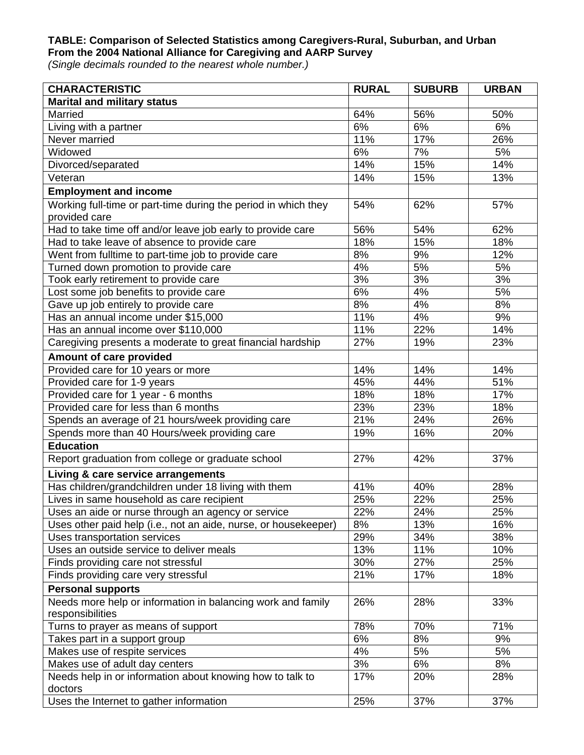### **TABLE: Comparison of Selected Statistics among Caregivers-Rural, Suburban, and Urban From the 2004 National Alliance for Caregiving and AARP Survey**

*(Single decimals rounded to the nearest whole number.)* 

| <b>CHARACTERISTIC</b>                                           | <b>RURAL</b> | <b>SUBURB</b> | <b>URBAN</b> |
|-----------------------------------------------------------------|--------------|---------------|--------------|
| <b>Marital and military status</b>                              |              |               |              |
| Married                                                         | 64%          | 56%           | 50%          |
| Living with a partner                                           | 6%           | 6%            | 6%           |
| Never married                                                   | 11%          | 17%           | 26%          |
| Widowed                                                         | 6%           | 7%            | 5%           |
| Divorced/separated                                              | 14%          | 15%           | 14%          |
| Veteran                                                         | 14%          | 15%           | 13%          |
| <b>Employment and income</b>                                    |              |               |              |
| Working full-time or part-time during the period in which they  | 54%          | 62%           | 57%          |
| provided care                                                   |              |               |              |
| Had to take time off and/or leave job early to provide care     | 56%          | 54%           | 62%          |
| Had to take leave of absence to provide care                    | 18%          | 15%           | 18%          |
| Went from fulltime to part-time job to provide care             | 8%           | 9%            | 12%          |
| Turned down promotion to provide care                           | 4%           | 5%            | 5%           |
| Took early retirement to provide care                           | 3%           | 3%            | 3%           |
| Lost some job benefits to provide care                          | 6%           | 4%            | 5%           |
| Gave up job entirely to provide care                            | 8%           | 4%            | 8%           |
| Has an annual income under \$15,000                             | 11%          | 4%            | 9%           |
| Has an annual income over \$110,000                             | 11%          | 22%           | 14%          |
| Caregiving presents a moderate to great financial hardship      | 27%          | 19%           | 23%          |
| Amount of care provided                                         |              |               |              |
| Provided care for 10 years or more                              | 14%          | 14%           | 14%          |
| Provided care for 1-9 years                                     | 45%          | 44%           | 51%          |
| Provided care for 1 year - 6 months                             | 18%          | 18%           | 17%          |
| Provided care for less than 6 months                            | 23%          | 23%           | 18%          |
| Spends an average of 21 hours/week providing care               | 21%          | 24%           | 26%          |
| Spends more than 40 Hours/week providing care                   | 19%          | 16%           | 20%          |
| <b>Education</b>                                                |              |               |              |
| Report graduation from college or graduate school               | 27%          | 42%           | 37%          |
|                                                                 |              |               |              |
| Living & care service arrangements                              |              |               |              |
| Has children/grandchildren under 18 living with them            | 41%          | 40%           | 28%          |
| Lives in same household as care recipient                       | 25%          | 22%           | 25%          |
| Uses an aide or nurse through an agency or service              | 22%          | 24%           | 25%          |
| Uses other paid help (i.e., not an aide, nurse, or housekeeper) | 8%           | 13%           | 16%          |
| Uses transportation services                                    | 29%          | 34%           | 38%          |
| Uses an outside service to deliver meals                        | 13%          | 11%           | 10%          |
| Finds providing care not stressful                              | 30%          | 27%           | 25%          |
| Finds providing care very stressful                             | 21%          | 17%           | 18%          |
| <b>Personal supports</b>                                        |              |               |              |
| Needs more help or information in balancing work and family     | 26%          | 28%           | 33%          |
| responsibilities                                                |              |               |              |
| Turns to prayer as means of support                             | 78%          | 70%           | 71%          |
| Takes part in a support group                                   | 6%           | 8%            | 9%           |
| Makes use of respite services                                   | 4%           | 5%            | 5%           |
| Makes use of adult day centers                                  | 3%           | 6%            | 8%           |
| Needs help in or information about knowing how to talk to       | 17%          | 20%           | 28%          |
| doctors                                                         |              |               |              |
| Uses the Internet to gather information                         | 25%          | 37%           | 37%          |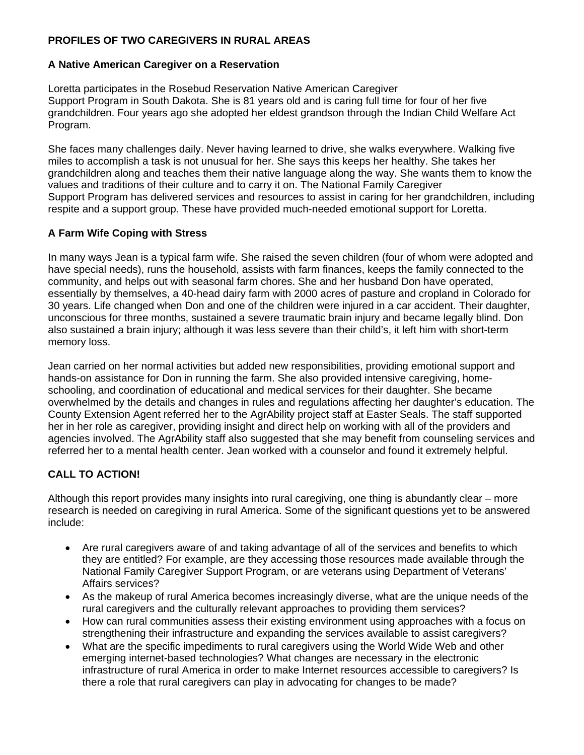# **PROFILES OF TWO CAREGIVERS IN RURAL AREAS**

## **A Native American Caregiver on a Reservation**

Loretta participates in the Rosebud Reservation Native American Caregiver Support Program in South Dakota. She is 81 years old and is caring full time for four of her five grandchildren. Four years ago she adopted her eldest grandson through the Indian Child Welfare Act Program.

She faces many challenges daily. Never having learned to drive, she walks everywhere. Walking five miles to accomplish a task is not unusual for her. She says this keeps her healthy. She takes her grandchildren along and teaches them their native language along the way. She wants them to know the values and traditions of their culture and to carry it on. The National Family Caregiver Support Program has delivered services and resources to assist in caring for her grandchildren, including respite and a support group. These have provided much-needed emotional support for Loretta.

# **A Farm Wife Coping with Stress**

In many ways Jean is a typical farm wife. She raised the seven children (four of whom were adopted and have special needs), runs the household, assists with farm finances, keeps the family connected to the community, and helps out with seasonal farm chores. She and her husband Don have operated, essentially by themselves, a 40-head dairy farm with 2000 acres of pasture and cropland in Colorado for 30 years. Life changed when Don and one of the children were injured in a car accident. Their daughter, unconscious for three months, sustained a severe traumatic brain injury and became legally blind. Don also sustained a brain injury; although it was less severe than their child's, it left him with short-term memory loss.

Jean carried on her normal activities but added new responsibilities, providing emotional support and hands-on assistance for Don in running the farm. She also provided intensive caregiving, homeschooling, and coordination of educational and medical services for their daughter. She became overwhelmed by the details and changes in rules and regulations affecting her daughter's education. The County Extension Agent referred her to the AgrAbility project staff at Easter Seals. The staff supported her in her role as caregiver, providing insight and direct help on working with all of the providers and agencies involved. The AgrAbility staff also suggested that she may benefit from counseling services and referred her to a mental health center. Jean worked with a counselor and found it extremely helpful.

# **CALL TO ACTION!**

Although this report provides many insights into rural caregiving, one thing is abundantly clear – more research is needed on caregiving in rural America. Some of the significant questions yet to be answered include:

- Are rural caregivers aware of and taking advantage of all of the services and benefits to which they are entitled? For example, are they accessing those resources made available through the National Family Caregiver Support Program, or are veterans using Department of Veterans' Affairs services?
- As the makeup of rural America becomes increasingly diverse, what are the unique needs of the rural caregivers and the culturally relevant approaches to providing them services?
- How can rural communities assess their existing environment using approaches with a focus on strengthening their infrastructure and expanding the services available to assist caregivers?
- What are the specific impediments to rural caregivers using the World Wide Web and other emerging internet-based technologies? What changes are necessary in the electronic infrastructure of rural America in order to make Internet resources accessible to caregivers? Is there a role that rural caregivers can play in advocating for changes to be made?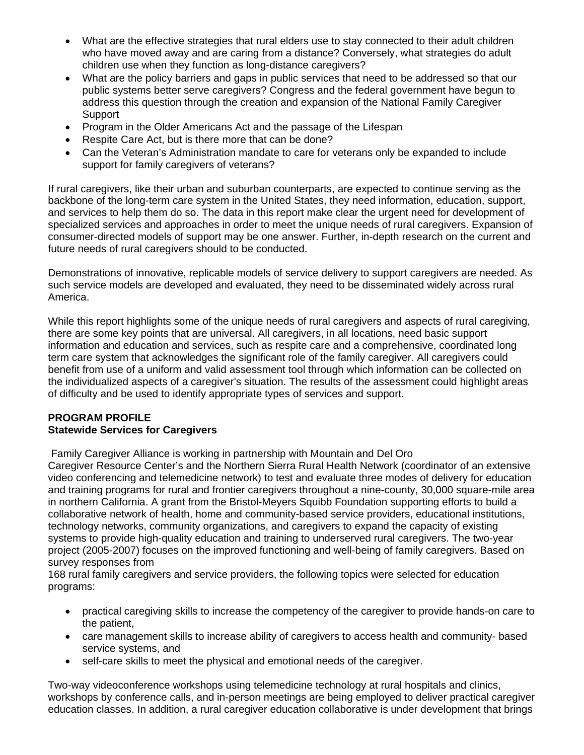- What are the effective strategies that rural elders use to stay connected to their adult children who have moved away and are caring from a distance? Conversely, what strategies do adult children use when they function as long-distance caregivers?
- What are the policy barriers and gaps in public services that need to be addressed so that our public systems better serve caregivers? Congress and the federal government have begun to address this question through the creation and expansion of the National Family Caregiver Support
- Program in the Older Americans Act and the passage of the Lifespan
- Respite Care Act, but is there more that can be done?
- Can the Veteran's Administration mandate to care for veterans only be expanded to include support for family caregivers of veterans?

If rural caregivers, like their urban and suburban counterparts, are expected to continue serving as the backbone of the long-term care system in the United States, they need information, education, support, and services to help them do so. The data in this report make clear the urgent need for development of specialized services and approaches in order to meet the unique needs of rural caregivers. Expansion of consumer-directed models of support may be one answer. Further, in-depth research on the current and future needs of rural caregivers should to be conducted.

Demonstrations of innovative, replicable models of service delivery to support caregivers are needed. As such service models are developed and evaluated, they need to be disseminated widely across rural America.

While this report highlights some of the unique needs of rural caregivers and aspects of rural caregiving, there are some key points that are universal. All caregivers, in all locations, need basic support information and education and services, such as respite care and a comprehensive, coordinated long term care system that acknowledges the significant role of the family caregiver. All caregivers could benefit from use of a uniform and valid assessment tool through which information can be collected on the individualized aspects of a caregiver's situation. The results of the assessment could highlight areas of difficulty and be used to identify appropriate types of services and support.

## **PROGRAM PROFILE Statewide Services for Caregivers**

Family Caregiver Alliance is working in partnership with Mountain and Del Oro

Caregiver Resource Center's and the Northern Sierra Rural Health Network (coordinator of an extensive video conferencing and telemedicine network) to test and evaluate three modes of delivery for education and training programs for rural and frontier caregivers throughout a nine-county, 30,000 square-mile area in northern California. A grant from the Bristol-Meyers Squibb Foundation supporting efforts to build a collaborative network of health, home and community-based service providers, educational institutions, technology networks, community organizations, and caregivers to expand the capacity of existing systems to provide high-quality education and training to underserved rural caregivers. The two-year project (2005-2007) focuses on the improved functioning and well-being of family caregivers. Based on survey responses from

168 rural family caregivers and service providers, the following topics were selected for education programs:

- practical caregiving skills to increase the competency of the caregiver to provide hands-on care to the patient,
- care management skills to increase ability of caregivers to access health and community- based service systems, and
- self-care skills to meet the physical and emotional needs of the caregiver.

Two-way videoconference workshops using telemedicine technology at rural hospitals and clinics, workshops by conference calls, and in-person meetings are being employed to deliver practical caregiver education classes. In addition, a rural caregiver education collaborative is under development that brings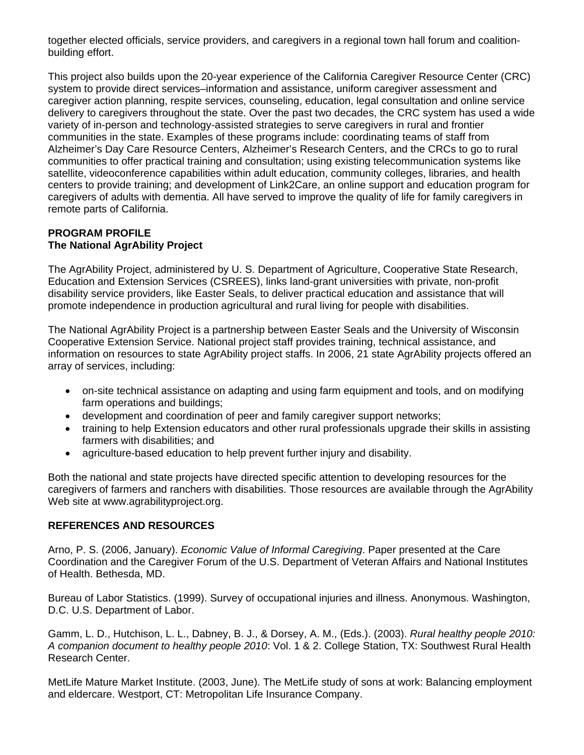together elected officials, service providers, and caregivers in a regional town hall forum and coalitionbuilding effort.

This project also builds upon the 20-year experience of the California Caregiver Resource Center (CRC) system to provide direct services–information and assistance, uniform caregiver assessment and caregiver action planning, respite services, counseling, education, legal consultation and online service delivery to caregivers throughout the state. Over the past two decades, the CRC system has used a wide variety of in-person and technology-assisted strategies to serve caregivers in rural and frontier communities in the state. Examples of these programs include: coordinating teams of staff from Alzheimer's Day Care Resource Centers, Alzheimer's Research Centers, and the CRCs to go to rural communities to offer practical training and consultation; using existing telecommunication systems like satellite, videoconference capabilities within adult education, community colleges, libraries, and health centers to provide training; and development of Link2Care, an online support and education program for caregivers of adults with dementia. All have served to improve the quality of life for family caregivers in remote parts of California.

#### **PROGRAM PROFILE The National AgrAbility Project**

The AgrAbility Project, administered by U. S. Department of Agriculture, Cooperative State Research, Education and Extension Services (CSREES), links land-grant universities with private, non-profit disability service providers, like Easter Seals, to deliver practical education and assistance that will promote independence in production agricultural and rural living for people with disabilities.

The National AgrAbility Project is a partnership between Easter Seals and the University of Wisconsin Cooperative Extension Service. National project staff provides training, technical assistance, and information on resources to state AgrAbility project staffs. In 2006, 21 state AgrAbility projects offered an array of services, including:

- on-site technical assistance on adapting and using farm equipment and tools, and on modifying farm operations and buildings;
- development and coordination of peer and family caregiver support networks;
- training to help Extension educators and other rural professionals upgrade their skills in assisting farmers with disabilities; and
- agriculture-based education to help prevent further injury and disability.

Both the national and state projects have directed specific attention to developing resources for the caregivers of farmers and ranchers with disabilities. Those resources are available through the AgrAbility Web site at www.agrabilityproject.org.

## **REFERENCES AND RESOURCES**

Arno, P. S. (2006, January). *Economic Value of Informal Caregiving*. Paper presented at the Care Coordination and the Caregiver Forum of the U.S. Department of Veteran Affairs and National Institutes of Health. Bethesda, MD.

Bureau of Labor Statistics. (1999). Survey of occupational injuries and illness. Anonymous. Washington, D.C. U.S. Department of Labor.

Gamm, L. D., Hutchison, L. L., Dabney, B. J., & Dorsey, A. M., (Eds.). (2003). *Rural healthy people 2010: A companion document to healthy people 2010*: Vol. 1 & 2. College Station, TX: Southwest Rural Health Research Center.

MetLife Mature Market Institute. (2003, June). The MetLife study of sons at work: Balancing employment and eldercare. Westport, CT: Metropolitan Life Insurance Company.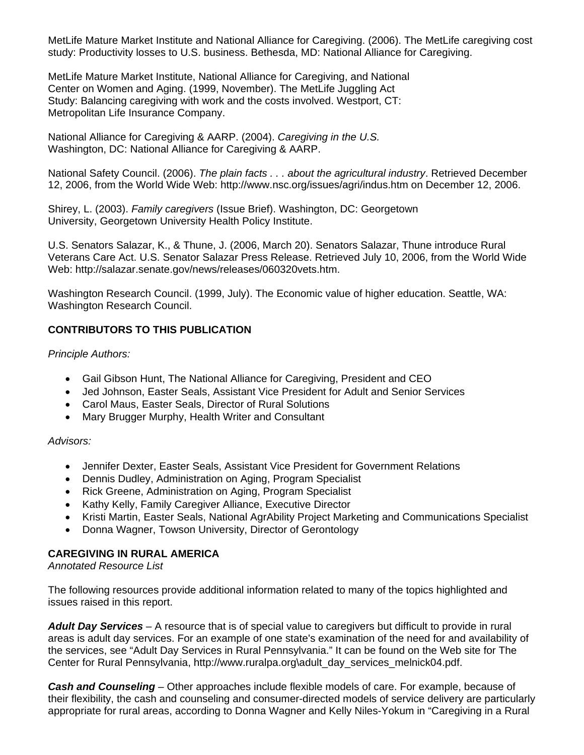MetLife Mature Market Institute and National Alliance for Caregiving. (2006). The MetLife caregiving cost study: Productivity losses to U.S. business. Bethesda, MD: National Alliance for Caregiving.

MetLife Mature Market Institute, National Alliance for Caregiving, and National Center on Women and Aging. (1999, November). The MetLife Juggling Act Study: Balancing caregiving with work and the costs involved. Westport, CT: Metropolitan Life Insurance Company.

National Alliance for Caregiving & AARP. (2004). *Caregiving in the U.S.*  Washington, DC: National Alliance for Caregiving & AARP.

National Safety Council. (2006). *The plain facts . . . about the agricultural industry*. Retrieved December 12, 2006, from the World Wide Web: http://www.nsc.org/issues/agri/indus.htm on December 12, 2006.

Shirey, L. (2003). *Family caregivers* (Issue Brief). Washington, DC: Georgetown University, Georgetown University Health Policy Institute.

U.S. Senators Salazar, K., & Thune, J. (2006, March 20). Senators Salazar, Thune introduce Rural Veterans Care Act. U.S. Senator Salazar Press Release. Retrieved July 10, 2006, from the World Wide Web: http://salazar.senate.gov/news/releases/060320vets.htm.

Washington Research Council. (1999, July). The Economic value of higher education. Seattle, WA: Washington Research Council.

# **CONTRIBUTORS TO THIS PUBLICATION**

*Principle Authors:* 

- Gail Gibson Hunt, The National Alliance for Caregiving, President and CEO
- Jed Johnson, Easter Seals, Assistant Vice President for Adult and Senior Services
- Carol Maus, Easter Seals, Director of Rural Solutions
- Mary Brugger Murphy, Health Writer and Consultant

*Advisors:* 

- Jennifer Dexter, Easter Seals, Assistant Vice President for Government Relations
- Dennis Dudley, Administration on Aging, Program Specialist
- Rick Greene, Administration on Aging, Program Specialist
- Kathy Kelly, Family Caregiver Alliance, Executive Director
- Kristi Martin, Easter Seals, National AgrAbility Project Marketing and Communications Specialist
- Donna Wagner, Towson University, Director of Gerontology

# **CAREGIVING IN RURAL AMERICA**

*Annotated Resource List* 

The following resources provide additional information related to many of the topics highlighted and issues raised in this report.

*Adult Day Services* – A resource that is of special value to caregivers but difficult to provide in rural areas is adult day services. For an example of one state's examination of the need for and availability of the services, see "Adult Day Services in Rural Pennsylvania." It can be found on the Web site for The Center for Rural Pennsylvania, http://www.ruralpa.org\adult\_day\_services\_melnick04.pdf.

*Cash and Counseling* – Other approaches include flexible models of care. For example, because of their flexibility, the cash and counseling and consumer-directed models of service delivery are particularly appropriate for rural areas, according to Donna Wagner and Kelly Niles-Yokum in "Caregiving in a Rural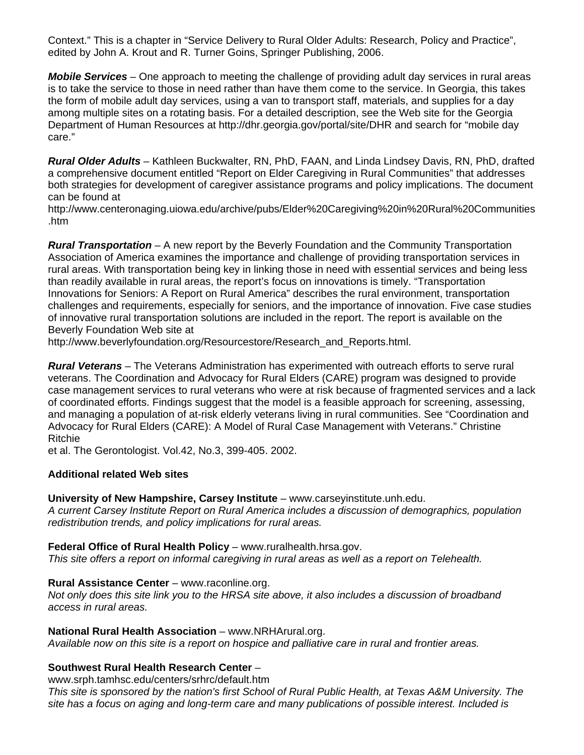Context." This is a chapter in "Service Delivery to Rural Older Adults: Research, Policy and Practice", edited by John A. Krout and R. Turner Goins, Springer Publishing, 2006.

*Mobile Services* – One approach to meeting the challenge of providing adult day services in rural areas is to take the service to those in need rather than have them come to the service. In Georgia, this takes the form of mobile adult day services, using a van to transport staff, materials, and supplies for a day among multiple sites on a rotating basis. For a detailed description, see the Web site for the Georgia Department of Human Resources at http://dhr.georgia.gov/portal/site/DHR and search for "mobile day care."

*Rural Older Adults* – Kathleen Buckwalter, RN, PhD, FAAN, and Linda Lindsey Davis, RN, PhD, drafted a comprehensive document entitled "Report on Elder Caregiving in Rural Communities" that addresses both strategies for development of caregiver assistance programs and policy implications. The document can be found at

http://www.centeronaging.uiowa.edu/archive/pubs/Elder%20Caregiving%20in%20Rural%20Communities .htm

*Rural Transportation* – A new report by the Beverly Foundation and the Community Transportation Association of America examines the importance and challenge of providing transportation services in rural areas. With transportation being key in linking those in need with essential services and being less than readily available in rural areas, the report's focus on innovations is timely. "Transportation Innovations for Seniors: A Report on Rural America" describes the rural environment, transportation challenges and requirements, especially for seniors, and the importance of innovation. Five case studies of innovative rural transportation solutions are included in the report. The report is available on the Beverly Foundation Web site at

http://www.beverlyfoundation.org/Resourcestore/Research\_and\_Reports.html.

*Rural Veterans* – The Veterans Administration has experimented with outreach efforts to serve rural veterans. The Coordination and Advocacy for Rural Elders (CARE) program was designed to provide case management services to rural veterans who were at risk because of fragmented services and a lack of coordinated efforts. Findings suggest that the model is a feasible approach for screening, assessing, and managing a population of at-risk elderly veterans living in rural communities. See "Coordination and Advocacy for Rural Elders (CARE): A Model of Rural Case Management with Veterans." Christine Ritchie

et al. The Gerontologist. Vol.42, No.3, 399-405. 2002.

## **Additional related Web sites**

#### **University of New Hampshire, Carsey Institute** – www.carseyinstitute.unh.edu.

*A current Carsey Institute Report on Rural America includes a discussion of demographics, population redistribution trends, and policy implications for rural areas.* 

## **Federal Office of Rural Health Policy - www.ruralhealth.hrsa.gov.**

*This site offers a report on informal caregiving in rural areas as well as a report on Telehealth.* 

## **Rural Assistance Center – www.raconline.org.**

*Not only does this site link you to the HRSA site above, it also includes a discussion of broadband access in rural areas.* 

#### **National Rural Health Association** – www.NRHArural.org.

*Available now on this site is a report on hospice and palliative care in rural and frontier areas.* 

## **Southwest Rural Health Research Center** –

www.srph.tamhsc.edu/centers/srhrc/default.htm

*This site is sponsored by the nation's first School of Rural Public Health, at Texas A&M University. The site has a focus on aging and long-term care and many publications of possible interest. Included is*